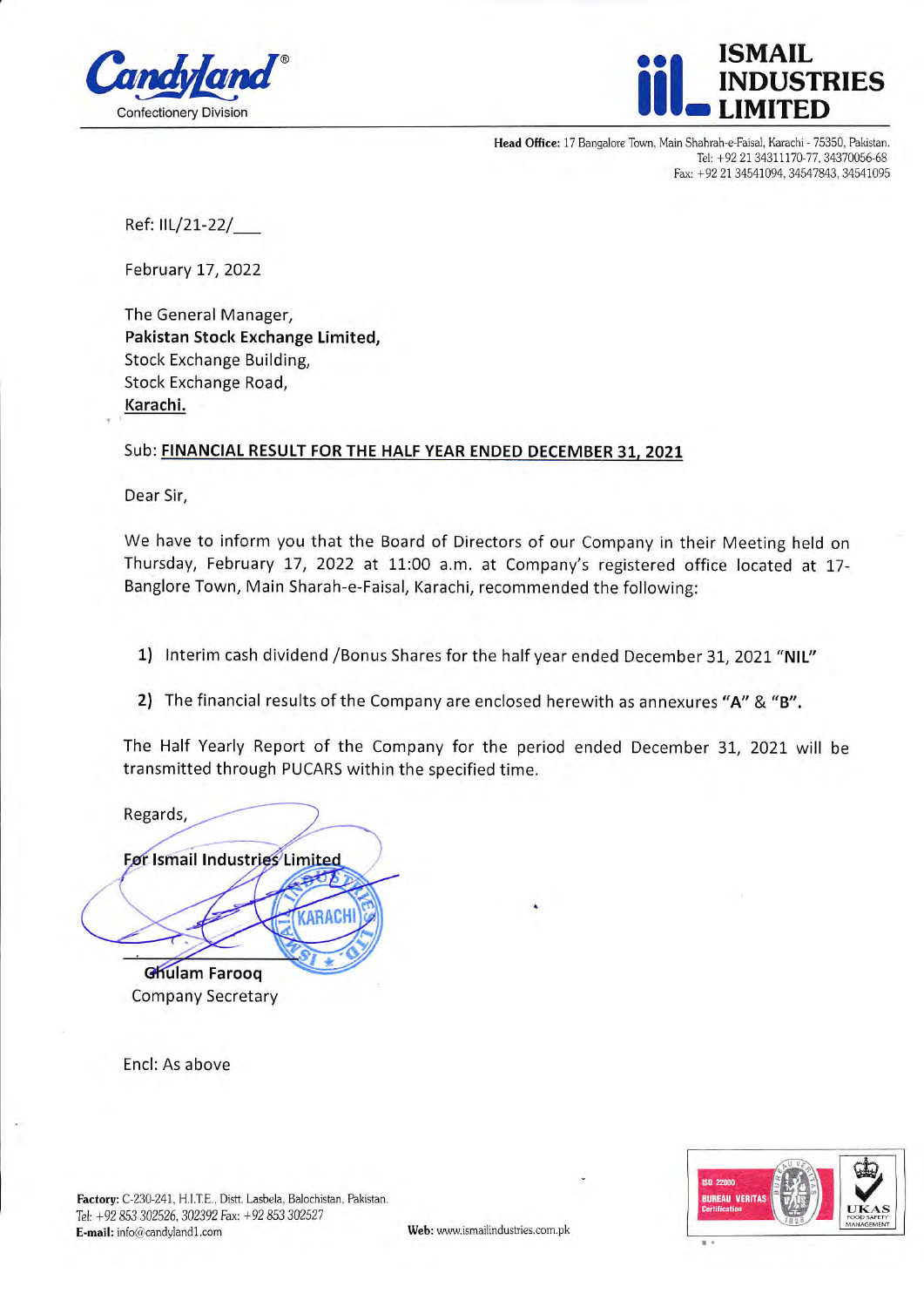



Head Office: 17 Bangalore Town, Main Shahrah-e-Faisal, Karachi - 75350, Pakistan. Tel: +92 21 34311170-77, 34370056-68 Fax: +92 21 34541094, 34547843, 34541095

Ref: IIL/21-22/

February 17,2022

The General Manager, Pakistan Stock Exchange Limited, Stock Exchange Building, Stock Exchange Road, Karachi.

## Sub: FINANCIAL RESULT FOR THE HALF YEAR ENDED DECEMBER 31, 2021

Dear Sir,

We have to inform you that the Board of Directors of our Company in their Meeting held on Thursday, February 17, 2022 at 11:00 a.m. at Company's registered office located at 17-Banglore Town, Main Sharah-e-Faisal, Karachi, recommended the following:

1) Interim cash dividend / Bonus Shares for the half year ended December 31, 2021 "NIL"

2) The financial results of the Company are enclosed herewith as annexures "A" & "B".

The Half Yearly Report of the Company for the period ended December 31, 2021 will be transmitted through PUCARS within the specified time.

Regards, For Ismail Industries Limited RACH Ghulam Farooq Company Secretary

Encl: As above

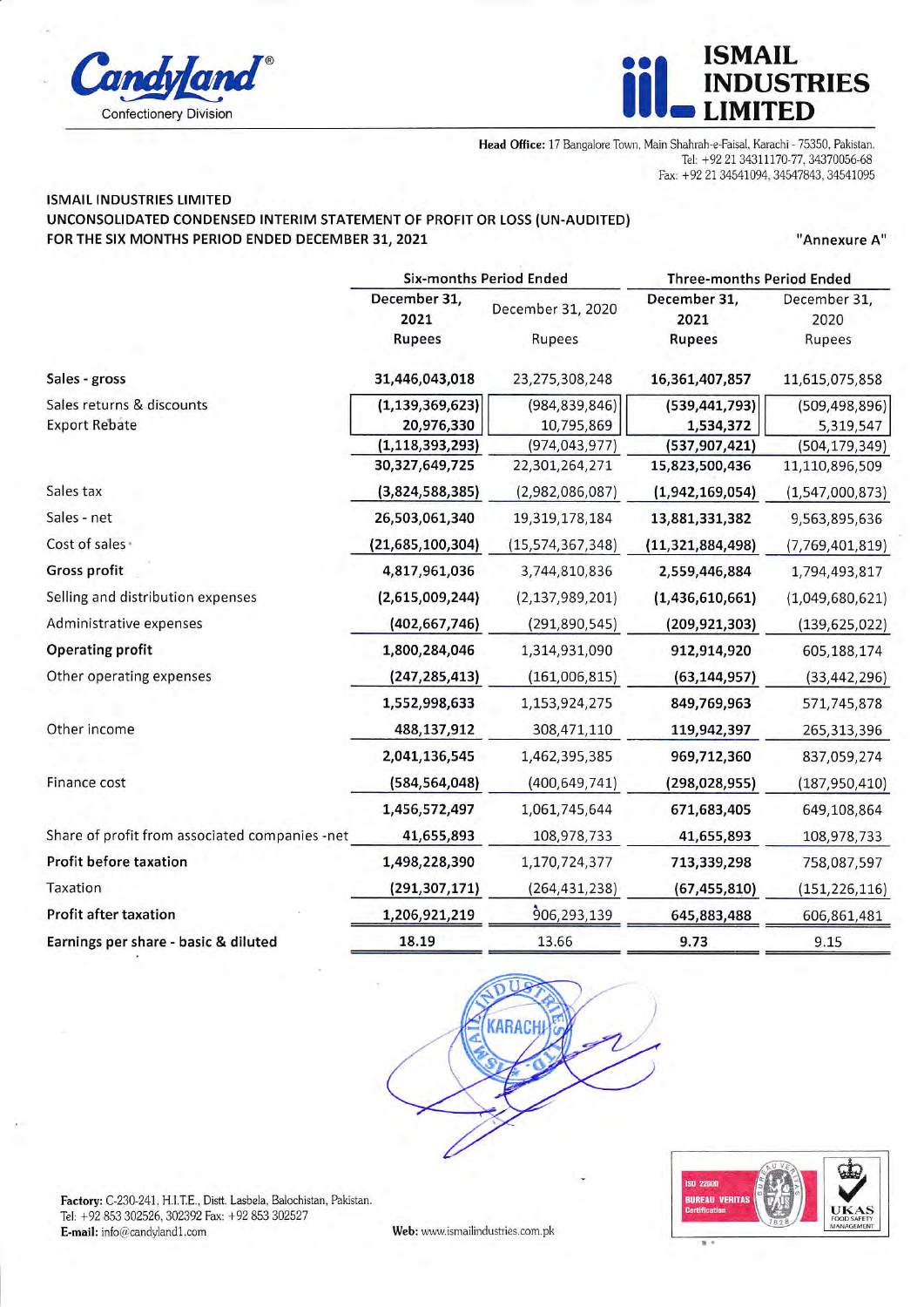



Head Office: 17 Bangalore Town, Main Shahrah-e-Faisal, Karachi - 75350, Pakistan. Tel: +92 21 34311170-77, 34370056-68 Fax: +92 21 34541094, 34547843, 34541095

## **ISMAIL INDUSTRIES LIMITED** UNCONSOLIDATED CONDENSED INTERIM STATEMENT OF PROFIT OR LOSS (UN-AUDITED) FOR THE SIX MONTHS PERIOD ENDED DECEMBER 31, 2021

"Annexure A"

|                                                | <b>Six-months Period Ended</b> |                    | <b>Three-months Period Ended</b> |                      |
|------------------------------------------------|--------------------------------|--------------------|----------------------------------|----------------------|
|                                                | December 31,<br>2021           | December 31, 2020  | December 31,<br>2021             | December 31,<br>2020 |
|                                                | <b>Rupees</b>                  | Rupees             | <b>Rupees</b>                    | Rupees               |
| Sales - gross                                  | 31,446,043,018                 | 23,275,308,248     | 16,361,407,857                   | 11,615,075,858       |
| Sales returns & discounts                      | (1, 139, 369, 623)             | (984, 839, 846)    | (539, 441, 793)                  | (509, 498, 896)      |
| <b>Export Rebate</b>                           | 20,976,330                     | 10,795,869         | 1,534,372                        | 5,319,547            |
|                                                | (1, 118, 393, 293)             | (974, 043, 977)    | (537, 907, 421)                  | (504, 179, 349)      |
|                                                | 30,327,649,725                 | 22,301,264,271     | 15,823,500,436                   | 11,110,896,509       |
| Sales tax                                      | (3,824,588,385)                | (2,982,086,087)    | (1,942,169,054)                  | (1,547,000,873)      |
| Sales - net                                    | 26,503,061,340                 | 19,319,178,184     | 13,881,331,382                   | 9,563,895,636        |
| Cost of sales ·                                | (21, 685, 100, 304)            | (15,574,367,348)   | (11, 321, 884, 498)              | (7,769,401,819)      |
| <b>Gross profit</b>                            | 4,817,961,036                  | 3,744,810,836      | 2,559,446,884                    | 1,794,493,817        |
| Selling and distribution expenses              | (2,615,009,244)                | (2, 137, 989, 201) | (1,436,610,661)                  | (1,049,680,621)      |
| Administrative expenses                        | (402, 667, 746)                | (291, 890, 545)    | (209, 921, 303)                  | (139, 625, 022)      |
| <b>Operating profit</b>                        | 1,800,284,046                  | 1,314,931,090      | 912,914,920                      | 605,188,174          |
| Other operating expenses                       | (247, 285, 413)                | (161,006,815)      | (63, 144, 957)                   | (33, 442, 296)       |
|                                                | 1,552,998,633                  | 1,153,924,275      | 849,769,963                      | 571,745,878          |
| Other income                                   | 488,137,912                    | 308,471,110        | 119,942,397                      | 265,313,396          |
|                                                | 2,041,136,545                  | 1,462,395,385      | 969,712,360                      | 837,059,274          |
| Finance cost                                   | (584,564,048)                  | (400, 649, 741)    | (298, 028, 955)                  | (187, 950, 410)      |
|                                                | 1,456,572,497                  | 1,061,745,644      | 671,683,405                      | 649,108,864          |
| Share of profit from associated companies -net | 41,655,893                     | 108,978,733        | 41,655,893                       | 108,978,733          |
| Profit before taxation                         | 1,498,228,390                  | 1,170,724,377      | 713,339,298                      | 758,087,597          |
| Taxation                                       | (291,307,171)                  | (264, 431, 238)    | (67, 455, 810)                   | (151, 226, 116)      |
| <b>Profit after taxation</b>                   | 1,206,921,219                  | 906,293,139        | 645,883,488                      | 606,861,481          |
| Earnings per share - basic & diluted           | 18.19                          | 13.66              | 9.73                             | 9.15                 |





Factory: C-230-241, H.I.T.E., Distt. Lasbela, Balochistan, Pakistan. Tel: +92 853 302526, 302392 Fax: +92 853 302527 E-mail:  $info@candyland1.com$ 

Web: www.ismailindustries.com.pk